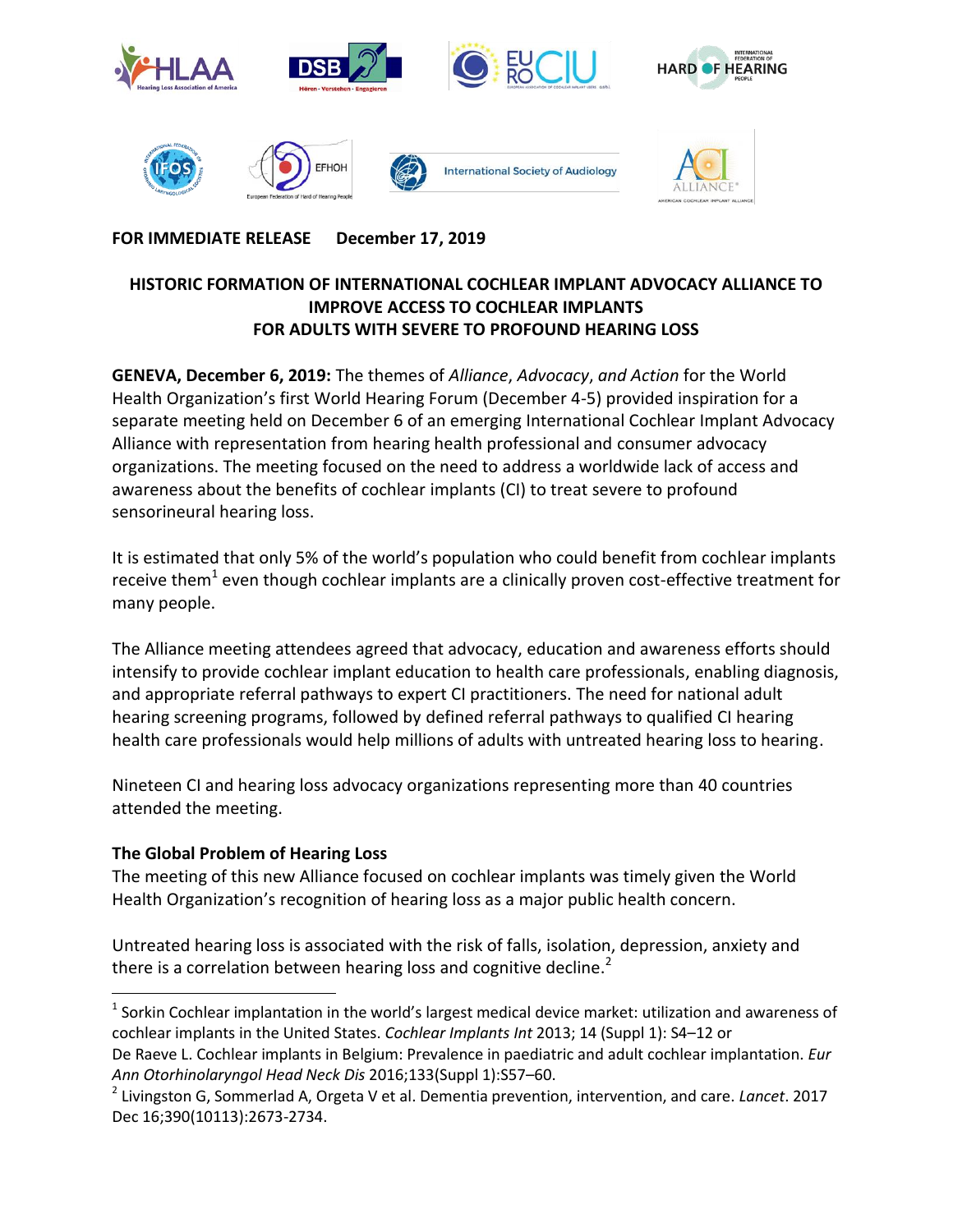

# **FOR IMMEDIATE RELEASE December 17, 2019**

#### **HISTORIC FORMATION OF INTERNATIONAL COCHLEAR IMPLANT ADVOCACY ALLIANCE TO IMPROVE ACCESS TO COCHLEAR IMPLANTS FOR ADULTS WITH SEVERE TO PROFOUND HEARING LOSS**

**GENEVA, December 6, 2019:** The themes of *Alliance*, *Advocacy*, *and Action* for the World Health Organization's first World Hearing Forum (December 4-5) provided inspiration for a separate meeting held on December 6 of an emerging International Cochlear Implant Advocacy Alliance with representation from hearing health professional and consumer advocacy organizations. The meeting focused on the need to address a worldwide lack of access and awareness about the benefits of cochlear implants (CI) to treat severe to profound sensorineural hearing loss.

It is estimated that only 5% of the world's population who could benefit from cochlear implants receive them<sup>1</sup> even though cochlear implants are a clinically proven cost-effective treatment for many people.

The Alliance meeting attendees agreed that advocacy, education and awareness efforts should intensify to provide cochlear implant education to health care professionals, enabling diagnosis, and appropriate referral pathways to expert CI practitioners. The need for national adult hearing screening programs, followed by defined referral pathways to qualified CI hearing health care professionals would help millions of adults with untreated hearing loss to hearing.

Nineteen CI and hearing loss advocacy organizations representing more than 40 countries attended the meeting.

## **The Global Problem of Hearing Loss**

l

The meeting of this new Alliance focused on cochlear implants was timely given the World Health Organization's recognition of hearing loss as a major public health concern.

Untreated hearing loss is associated with the risk of falls, isolation, depression, anxiety and there is a correlation between hearing loss and cognitive decline. $2$ 

 $^1$  Sorkin Cochlear implantation in the world's largest medical device market: utilization and awareness of cochlear implants in the United States. *Cochlear Implants Int* 2013; 14 (Suppl 1): S4–12 or De Raeve L. Cochlear implants in Belgium: Prevalence in paediatric and adult cochlear implantation. *Eur Ann Otorhinolaryngol Head Neck Dis* 2016;133(Suppl 1):S57–60.

<sup>2</sup> Livingston G, Sommerlad A, Orgeta V et al. Dementia prevention, intervention, and care. *Lancet*. 2017 Dec 16;390(10113):2673-2734.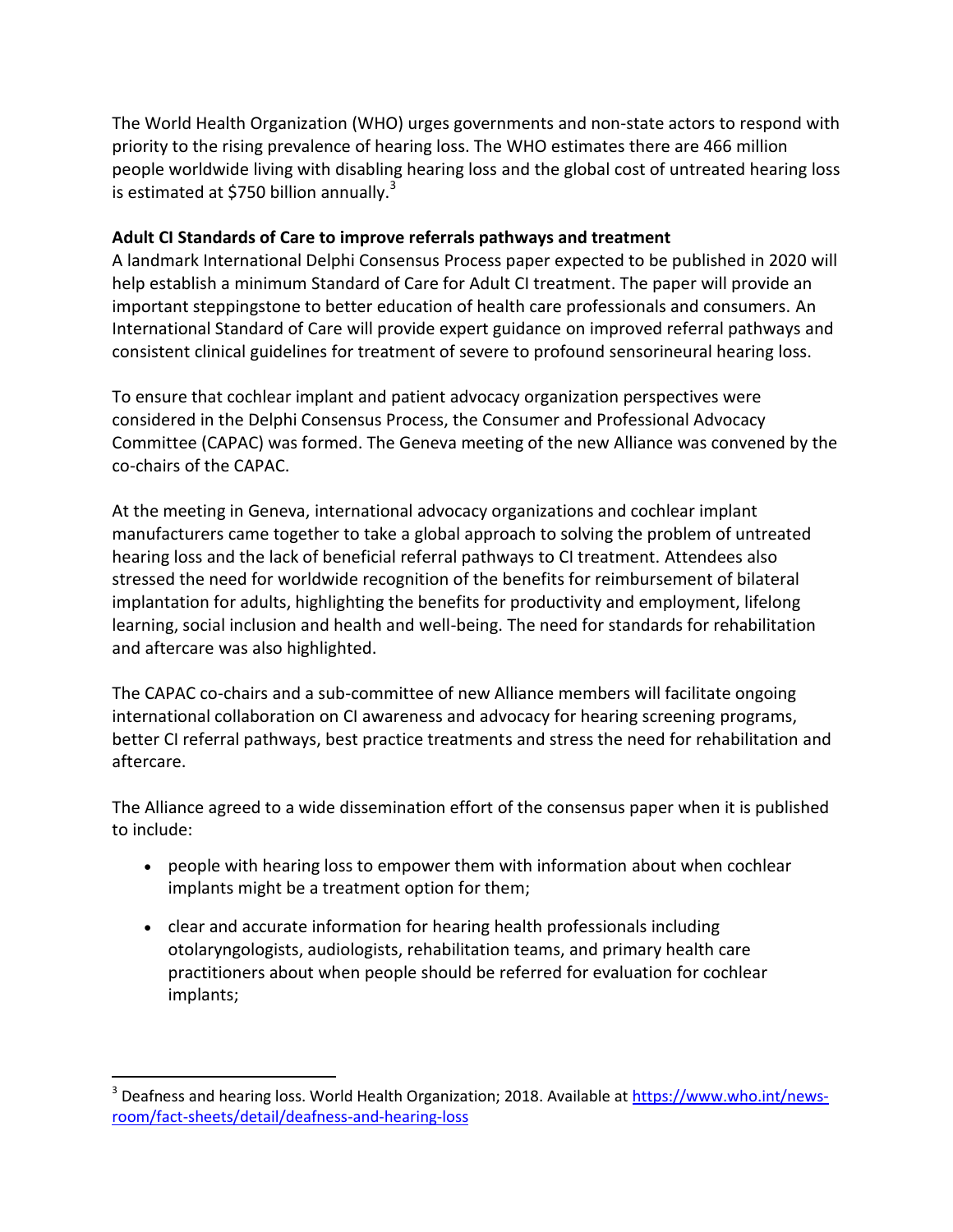The World Health Organization (WHO) urges governments and non-state actors to respond with priority to the rising prevalence of hearing loss. The WHO estimates there are 466 million people worldwide living with disabling hearing loss and the global cost of untreated hearing loss is estimated at \$750 billion annually. $3 \overline{ }$ 

# **Adult CI Standards of Care to improve referrals pathways and treatment**

A landmark International Delphi Consensus Process paper expected to be published in 2020 will help establish a minimum Standard of Care for Adult CI treatment. The paper will provide an important steppingstone to better education of health care professionals and consumers. An International Standard of Care will provide expert guidance on improved referral pathways and consistent clinical guidelines for treatment of severe to profound sensorineural hearing loss.

To ensure that cochlear implant and patient advocacy organization perspectives were considered in the Delphi Consensus Process, the Consumer and Professional Advocacy Committee (CAPAC) was formed. The Geneva meeting of the new Alliance was convened by the co-chairs of the CAPAC.

At the meeting in Geneva, international advocacy organizations and cochlear implant manufacturers came together to take a global approach to solving the problem of untreated hearing loss and the lack of beneficial referral pathways to CI treatment. Attendees also stressed the need for worldwide recognition of the benefits for reimbursement of bilateral implantation for adults, highlighting the benefits for productivity and employment, lifelong learning, social inclusion and health and well-being. The need for standards for rehabilitation and aftercare was also highlighted.

The CAPAC co-chairs and a sub-committee of new Alliance members will facilitate ongoing international collaboration on CI awareness and advocacy for hearing screening programs, better CI referral pathways, best practice treatments and stress the need for rehabilitation and aftercare.

The Alliance agreed to a wide dissemination effort of the consensus paper when it is published to include:

- people with hearing loss to empower them with information about when cochlear implants might be a treatment option for them;
- clear and accurate information for hearing health professionals including otolaryngologists, audiologists, rehabilitation teams, and primary health care practitioners about when people should be referred for evaluation for cochlear implants;

 $\overline{\phantom{a}}$ 

<sup>&</sup>lt;sup>3</sup> Deafness and hearing loss. World Health Organization; 2018. Available at [https://www.who.int/news](https://www.who.int/news-room/fact-sheets/detail/deafness-and-hearing-loss)[room/fact-sheets/detail/deafness-and-hearing-loss](https://www.who.int/news-room/fact-sheets/detail/deafness-and-hearing-loss)